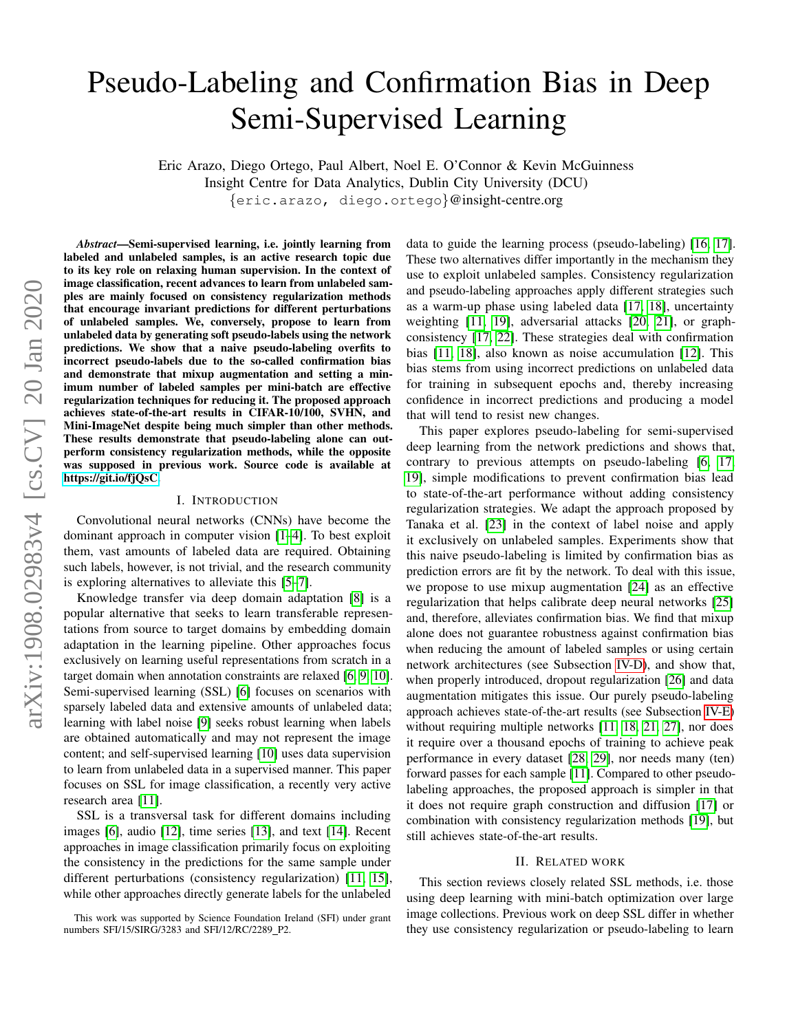# Pseudo-Labeling and Confirmation Bias in Deep Semi-Supervised Learning

Eric Arazo, Diego Ortego, Paul Albert, Noel E. O'Connor & Kevin McGuinness Insight Centre for Data Analytics, Dublin City University (DCU) {eric.arazo, diego.ortego}@insight-centre.org

*Abstract*—Semi-supervised learning, i.e. jointly learning from labeled and unlabeled samples, is an active research topic due to its key role on relaxing human supervision. In the context of image classification, recent advances to learn from unlabeled samples are mainly focused on consistency regularization methods that encourage invariant predictions for different perturbations of unlabeled samples. We, conversely, propose to learn from unlabeled data by generating soft pseudo-labels using the network predictions. We show that a naive pseudo-labeling overfits to incorrect pseudo-labels due to the so-called confirmation bias and demonstrate that mixup augmentation and setting a minimum number of labeled samples per mini-batch are effective regularization techniques for reducing it. The proposed approach achieves state-of-the-art results in CIFAR-10/100, SVHN, and Mini-ImageNet despite being much simpler than other methods. These results demonstrate that pseudo-labeling alone can outperform consistency regularization methods, while the opposite was supposed in previous work. Source code is available at [https://git.io/fjQsC.](https://git.io/fjQsC) I. INTRODUCTION Convolutional neural networks (CNNs) have become the dominant approach in computer vision [\[1–](#page-6-0)[4\]](#page-6-1). To best exploit them, vast amounts of labeled data are required. Obtaining such labels, however, is not trivial, and the research community is exploring alternatives to alleviate this [\[5](#page-6-2)[–7\]](#page-6-3).

Knowledge transfer via deep domain adaptation [\[8\]](#page-6-4) is a popular alternative that seeks to learn transferable representations from source to target domains by embedding domain adaptation in the learning pipeline. Other approaches focus exclusively on learning useful representations from scratch in a target domain when annotation constraints are relaxed [\[6,](#page-6-5) [9,](#page-6-6) [10\]](#page-6-7). Semi-supervised learning (SSL) [\[6\]](#page-6-5) focuses on scenarios with sparsely labeled data and extensive amounts of unlabeled data; learning with label noise [\[9\]](#page-6-6) seeks robust learning when labels are obtained automatically and may not represent the image content; and self-supervised learning [\[10\]](#page-6-7) uses data supervision to learn from unlabeled data in a supervised manner. This paper focuses on SSL for image classification, a recently very active research area [\[11\]](#page-6-8).

SSL is a transversal task for different domains including images [\[6\]](#page-6-5), audio [\[12\]](#page-6-9), time series [\[13\]](#page-6-10), and text [\[14\]](#page-6-11). Recent approaches in image classification primarily focus on exploiting the consistency in the predictions for the same sample under different perturbations (consistency regularization) [\[11,](#page-6-8) [15\]](#page-6-12), while other approaches directly generate labels for the unlabeled

data to guide the learning process (pseudo-labeling) [\[16,](#page-6-13) [17\]](#page-6-14). These two alternatives differ importantly in the mechanism they use to exploit unlabeled samples. Consistency regularization and pseudo-labeling approaches apply different strategies such as a warm-up phase using labeled data [\[17,](#page-6-14) [18\]](#page-6-15), uncertainty weighting [\[11,](#page-6-8) [19\]](#page-6-16), adversarial attacks [\[20,](#page-6-17) [21\]](#page-6-18), or graphconsistency [\[17,](#page-6-14) [22\]](#page-7-0). These strategies deal with confirmation bias [\[11,](#page-6-8) [18\]](#page-6-15), also known as noise accumulation [\[12\]](#page-6-9). This bias stems from using incorrect predictions on unlabeled data for training in subsequent epochs and, thereby increasing confidence in incorrect predictions and producing a model that will tend to resist new changes.

This paper explores pseudo-labeling for semi-supervised deep learning from the network predictions and shows that, contrary to previous attempts on pseudo-labeling [\[6,](#page-6-5) [17,](#page-6-14) [19\]](#page-6-16), simple modifications to prevent confirmation bias lead to state-of-the-art performance without adding consistency regularization strategies. We adapt the approach proposed by Tanaka et al. [\[23\]](#page-7-1) in the context of label noise and apply it exclusively on unlabeled samples. Experiments show that this naive pseudo-labeling is limited by confirmation bias as prediction errors are fit by the network. To deal with this issue, we propose to use mixup augmentation [\[24\]](#page-7-2) as an effective regularization that helps calibrate deep neural networks [\[25\]](#page-7-3) and, therefore, alleviates confirmation bias. We find that mixup alone does not guarantee robustness against confirmation bias when reducing the amount of labeled samples or using certain network architectures (see Subsection [IV-D\)](#page-4-0), and show that, when properly introduced, dropout regularization [\[26\]](#page-7-4) and data augmentation mitigates this issue. Our purely pseudo-labeling approach achieves state-of-the-art results (see Subsection [IV-E\)](#page-5-0) without requiring multiple networks [\[11,](#page-6-8) [18,](#page-6-15) [21,](#page-6-18) [27\]](#page-7-5), nor does it require over a thousand epochs of training to achieve peak performance in every dataset [\[28,](#page-7-6) [29\]](#page-7-7), nor needs many (ten) forward passes for each sample [\[11\]](#page-6-8). Compared to other pseudolabeling approaches, the proposed approach is simpler in that it does not require graph construction and diffusion [\[17\]](#page-6-14) or combination with consistency regularization methods [\[19\]](#page-6-16), but still achieves state-of-the-art results.

## II. RELATED WORK

This section reviews closely related SSL methods, i.e. those using deep learning with mini-batch optimization over large image collections. Previous work on deep SSL differ in whether they use consistency regularization or pseudo-labeling to learn

This work was supported by Science Foundation Ireland (SFI) under grant numbers SFI/15/SIRG/3283 and SFI/12/RC/2289 P2.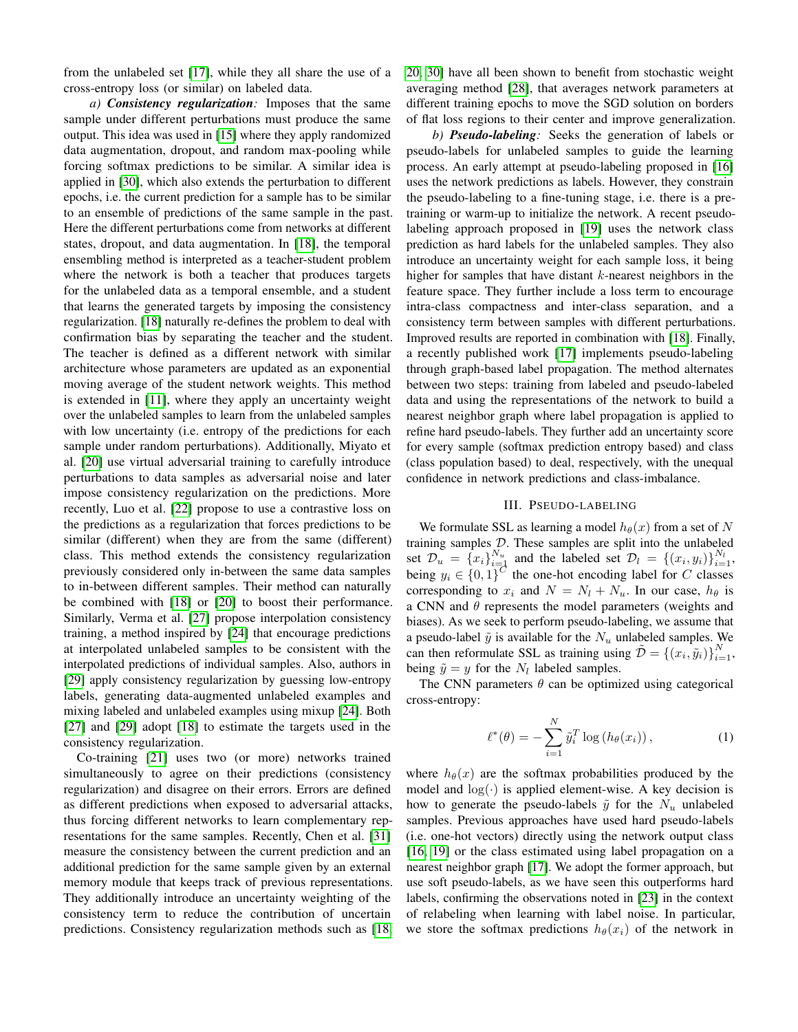from the unlabeled set [\[17\]](#page-6-14), while they all share the use of a cross-entropy loss (or similar) on labeled data.

*a) Consistency regularization:* Imposes that the same sample under different perturbations must produce the same output. This idea was used in [\[15\]](#page-6-12) where they apply randomized data augmentation, dropout, and random max-pooling while forcing softmax predictions to be similar. A similar idea is applied in [\[30\]](#page-7-8), which also extends the perturbation to different epochs, i.e. the current prediction for a sample has to be similar to an ensemble of predictions of the same sample in the past. Here the different perturbations come from networks at different states, dropout, and data augmentation. In [\[18\]](#page-6-15), the temporal ensembling method is interpreted as a teacher-student problem where the network is both a teacher that produces targets for the unlabeled data as a temporal ensemble, and a student that learns the generated targets by imposing the consistency regularization. [\[18\]](#page-6-15) naturally re-defines the problem to deal with confirmation bias by separating the teacher and the student. The teacher is defined as a different network with similar architecture whose parameters are updated as an exponential moving average of the student network weights. This method is extended in [\[11\]](#page-6-8), where they apply an uncertainty weight over the unlabeled samples to learn from the unlabeled samples with low uncertainty (i.e. entropy of the predictions for each sample under random perturbations). Additionally, Miyato et al. [\[20\]](#page-6-17) use virtual adversarial training to carefully introduce perturbations to data samples as adversarial noise and later impose consistency regularization on the predictions. More recently, Luo et al. [\[22\]](#page-7-0) propose to use a contrastive loss on the predictions as a regularization that forces predictions to be similar (different) when they are from the same (different) class. This method extends the consistency regularization previously considered only in-between the same data samples to in-between different samples. Their method can naturally be combined with [\[18\]](#page-6-15) or [\[20\]](#page-6-17) to boost their performance. Similarly, Verma et al. [\[27\]](#page-7-5) propose interpolation consistency training, a method inspired by [\[24\]](#page-7-2) that encourage predictions at interpolated unlabeled samples to be consistent with the interpolated predictions of individual samples. Also, authors in [\[29\]](#page-7-7) apply consistency regularization by guessing low-entropy labels, generating data-augmented unlabeled examples and mixing labeled and unlabeled examples using mixup [\[24\]](#page-7-2). Both [\[27\]](#page-7-5) and [\[29\]](#page-7-7) adopt [\[18\]](#page-6-15) to estimate the targets used in the consistency regularization.

Co-training [\[21\]](#page-6-18) uses two (or more) networks trained simultaneously to agree on their predictions (consistency regularization) and disagree on their errors. Errors are defined as different predictions when exposed to adversarial attacks, thus forcing different networks to learn complementary representations for the same samples. Recently, Chen et al. [\[31\]](#page-7-9) measure the consistency between the current prediction and an additional prediction for the same sample given by an external memory module that keeps track of previous representations. They additionally introduce an uncertainty weighting of the consistency term to reduce the contribution of uncertain predictions. Consistency regularization methods such as [\[18,](#page-6-15) [20,](#page-6-17) [30\]](#page-7-8) have all been shown to benefit from stochastic weight averaging method [\[28\]](#page-7-6), that averages network parameters at different training epochs to move the SGD solution on borders of flat loss regions to their center and improve generalization.

*b) Pseudo-labeling:* Seeks the generation of labels or pseudo-labels for unlabeled samples to guide the learning process. An early attempt at pseudo-labeling proposed in [\[16\]](#page-6-13) uses the network predictions as labels. However, they constrain the pseudo-labeling to a fine-tuning stage, i.e. there is a pretraining or warm-up to initialize the network. A recent pseudolabeling approach proposed in [\[19\]](#page-6-16) uses the network class prediction as hard labels for the unlabeled samples. They also introduce an uncertainty weight for each sample loss, it being higher for samples that have distant  $k$ -nearest neighbors in the feature space. They further include a loss term to encourage intra-class compactness and inter-class separation, and a consistency term between samples with different perturbations. Improved results are reported in combination with [\[18\]](#page-6-15). Finally, a recently published work [\[17\]](#page-6-14) implements pseudo-labeling through graph-based label propagation. The method alternates between two steps: training from labeled and pseudo-labeled data and using the representations of the network to build a nearest neighbor graph where label propagation is applied to refine hard pseudo-labels. They further add an uncertainty score for every sample (softmax prediction entropy based) and class (class population based) to deal, respectively, with the unequal confidence in network predictions and class-imbalance.

### III. PSEUDO-LABELING

We formulate SSL as learning a model  $h_{\theta}(x)$  from a set of N training samples  $D$ . These samples are split into the unlabeled set  $\mathcal{D}_u = \{x_i\}_{i=1}^{N_u}$  and the labeled set  $\mathcal{D}_l = \{(x_i, y_i)\}_{i=1}^{N_l}$ , being  $y_i \in \{0,1\}^C$  the one-hot encoding label for C classes corresponding to  $x_i$  and  $N = N_l + N_u$ . In our case,  $h_{\theta}$  is a CNN and  $\theta$  represents the model parameters (weights and biases). As we seek to perform pseudo-labeling, we assume that a pseudo-label  $\tilde{y}$  is available for the  $N_u$  unlabeled samples. We can then reformulate SSL as training using  $\tilde{\mathcal{D}} = \left\{ (x_i, \tilde{y}_i) \right\}_{i=1}^N$ , being  $\tilde{y} = y$  for the  $N_l$  labeled samples.

The CNN parameters  $\theta$  can be optimized using categorical cross-entropy:

<span id="page-1-0"></span>
$$
\ell^*(\theta) = -\sum_{i=1}^N \tilde{y}_i^T \log (h_\theta(x_i)), \qquad (1)
$$

where  $h_{\theta}(x)$  are the softmax probabilities produced by the model and  $log(·)$  is applied element-wise. A key decision is how to generate the pseudo-labels  $\tilde{y}$  for the  $N_u$  unlabeled samples. Previous approaches have used hard pseudo-labels (i.e. one-hot vectors) directly using the network output class [\[16,](#page-6-13) [19\]](#page-6-16) or the class estimated using label propagation on a nearest neighbor graph [\[17\]](#page-6-14). We adopt the former approach, but use soft pseudo-labels, as we have seen this outperforms hard labels, confirming the observations noted in [\[23\]](#page-7-1) in the context of relabeling when learning with label noise. In particular, we store the softmax predictions  $h_{\theta}(x_i)$  of the network in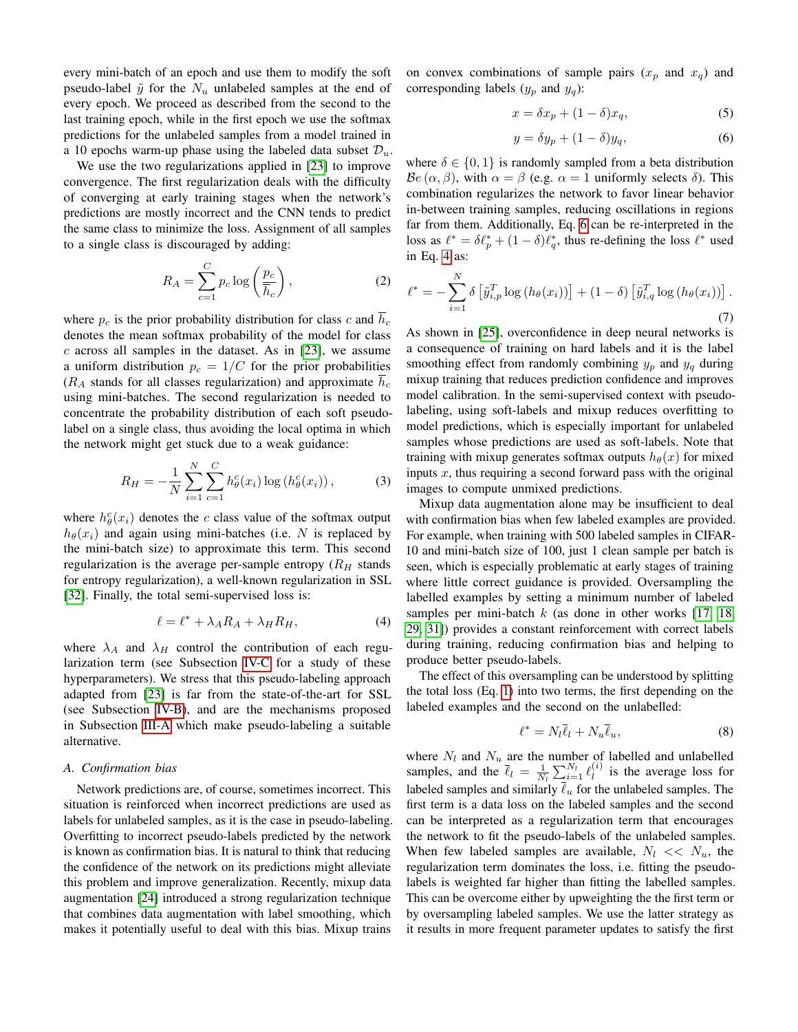every mini-batch of an epoch and use them to modify the soft pseudo-label  $\tilde{y}$  for the  $N_u$  unlabeled samples at the end of every epoch. We proceed as described from the second to the last training epoch, while in the first epoch we use the softmax predictions for the unlabeled samples from a model trained in a 10 epochs warm-up phase using the labeled data subset  $\mathcal{D}_u$ .

We use the two regularizations applied in [\[23\]](#page-7-1) to improve convergence. The first regularization deals with the difficulty of converging at early training stages when the network's predictions are mostly incorrect and the CNN tends to predict the same class to minimize the loss. Assignment of all samples to a single class is discouraged by adding:

$$
R_A = \sum_{c=1}^{C} p_c \log \left(\frac{p_c}{\overline{h}_c}\right),\tag{2}
$$

where  $p_c$  is the prior probability distribution for class c and  $\overline{h}_c$ denotes the mean softmax probability of the model for class  $c$  across all samples in the dataset. As in [\[23\]](#page-7-1), we assume a uniform distribution  $p_c = 1/C$  for the prior probabilities  $(R_A$  stands for all classes regularization) and approximate  $\overline{h}_c$ using mini-batches. The second regularization is needed to concentrate the probability distribution of each soft pseudolabel on a single class, thus avoiding the local optima in which the network might get stuck due to a weak guidance:

$$
R_H = -\frac{1}{N} \sum_{i=1}^{N} \sum_{c=1}^{C} h_{\theta}^c(x_i) \log \left( h_{\theta}^c(x_i) \right), \tag{3}
$$

where  $h_{\theta}^{c}(x_i)$  denotes the c class value of the softmax output  $h_{\theta}(x_i)$  and again using mini-batches (i.e. N is replaced by the mini-batch size) to approximate this term. This second regularization is the average per-sample entropy  $(R_H \text{ stands})$ for entropy regularization), a well-known regularization in SSL [\[32\]](#page-7-10). Finally, the total semi-supervised loss is:

<span id="page-2-2"></span>
$$
\ell = \ell^* + \lambda_A R_A + \lambda_H R_H, \tag{4}
$$

where  $\lambda_A$  and  $\lambda_H$  control the contribution of each regularization term (see Subsection [IV-C](#page-4-1) for a study of these hyperparameters). We stress that this pseudo-labeling approach adapted from [\[23\]](#page-7-1) is far from the state-of-the-art for SSL (see Subsection [IV-B\)](#page-3-0), and are the mechanisms proposed in Subsection [III-A](#page-2-0) which make pseudo-labeling a suitable alternative.

## <span id="page-2-0"></span>*A. Confirmation bias*

Network predictions are, of course, sometimes incorrect. This situation is reinforced when incorrect predictions are used as labels for unlabeled samples, as it is the case in pseudo-labeling. Overfitting to incorrect pseudo-labels predicted by the network is known as confirmation bias. It is natural to think that reducing the confidence of the network on its predictions might alleviate this problem and improve generalization. Recently, mixup data augmentation [\[24\]](#page-7-2) introduced a strong regularization technique that combines data augmentation with label smoothing, which makes it potentially useful to deal with this bias. Mixup trains

on convex combinations of sample pairs  $(x_p$  and  $x_q$ ) and corresponding labels  $(y_p \text{ and } y_q)$ :

$$
x = \delta x_p + (1 - \delta)x_q,\tag{5}
$$

<span id="page-2-1"></span>
$$
y = \delta y_p + (1 - \delta)y_q,\tag{6}
$$

where  $\delta \in \{0, 1\}$  is randomly sampled from a beta distribution  $\mathcal{B}e(\alpha,\beta)$ , with  $\alpha = \beta$  (e.g.  $\alpha = 1$  uniformly selects  $\delta$ ). This combination regularizes the network to favor linear behavior in-between training samples, reducing oscillations in regions far from them. Additionally, Eq. [6](#page-2-1) can be re-interpreted in the loss as  $\ell^* = \delta \ell_p^* + (1 - \delta) \ell_q^*$ , thus re-defining the loss  $\ell^*$  used in Eq. [4](#page-2-2) as:

$$
\ell^* = -\sum_{i=1}^N \delta \left[ \tilde{y}_{i,p}^T \log \left( h_\theta(x_i) \right) \right] + (1 - \delta) \left[ \tilde{y}_{i,q}^T \log \left( h_\theta(x_i) \right) \right].
$$
\n(7)

As shown in [\[25\]](#page-7-3), overconfidence in deep neural networks is a consequence of training on hard labels and it is the label smoothing effect from randomly combining  $y_p$  and  $y_q$  during mixup training that reduces prediction confidence and improves model calibration. In the semi-supervised context with pseudolabeling, using soft-labels and mixup reduces overfitting to model predictions, which is especially important for unlabeled samples whose predictions are used as soft-labels. Note that training with mixup generates softmax outputs  $h_{\theta}(x)$  for mixed inputs  $x$ , thus requiring a second forward pass with the original images to compute unmixed predictions.

Mixup data augmentation alone may be insufficient to deal with confirmation bias when few labeled examples are provided. For example, when training with 500 labeled samples in CIFAR-10 and mini-batch size of 100, just 1 clean sample per batch is seen, which is especially problematic at early stages of training where little correct guidance is provided. Oversampling the labelled examples by setting a minimum number of labeled samples per mini-batch  $k$  (as done in other works [\[17,](#page-6-14) [18,](#page-6-15) [29,](#page-7-7) [31\]](#page-7-9)) provides a constant reinforcement with correct labels during training, reducing confirmation bias and helping to produce better pseudo-labels.

The effect of this oversampling can be understood by splitting the total loss (Eq. [1\)](#page-1-0) into two terms, the first depending on the labeled examples and the second on the unlabelled:

$$
\ell^* = N_l \bar{\ell}_l + N_u \bar{\ell}_u,\tag{8}
$$

where  $N_l$  and  $N_u$  are the number of labelled and unlabelled samples, and the  $\bar{\ell}_l = \frac{1}{N_l} \sum_{i=1}^{N_l} \ell_l^{(i)}$  $\ell_i^{(i)}$  is the average loss for labeled samples and similarly  $\overline{\ell}_u$  for the unlabeled samples. The first term is a data loss on the labeled samples and the second can be interpreted as a regularization term that encourages the network to fit the pseudo-labels of the unlabeled samples. When few labeled samples are available,  $N_l \ll N_u$ , the regularization term dominates the loss, i.e. fitting the pseudolabels is weighted far higher than fitting the labelled samples. This can be overcome either by upweighting the the first term or by oversampling labeled samples. We use the latter strategy as it results in more frequent parameter updates to satisfy the first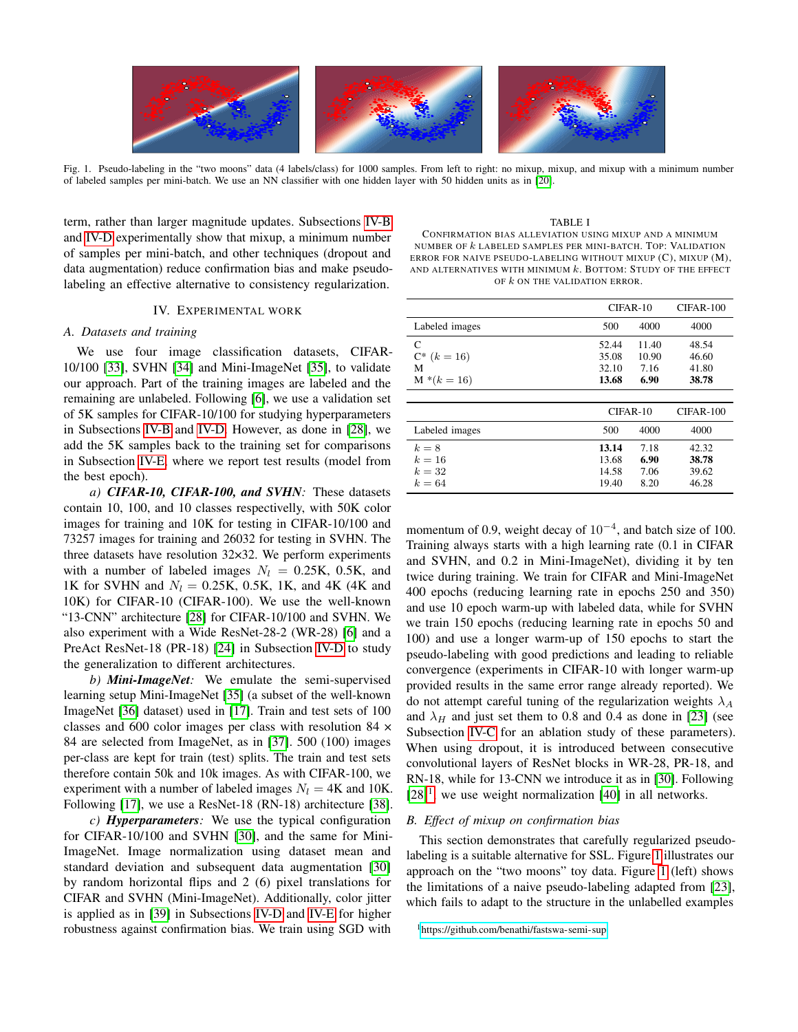

<span id="page-3-2"></span>Fig. 1. Pseudo-labeling in the "two moons" data (4 labels/class) for 1000 samples. From left to right: no mixup, mixup, and mixup with a minimum number of labeled samples per mini-batch. We use an NN classifier with one hidden layer with 50 hidden units as in [\[20\]](#page-6-17).

term, rather than larger magnitude updates. Subsections [IV-B](#page-3-0) and [IV-D](#page-4-0) experimentally show that mixup, a minimum number of samples per mini-batch, and other techniques (dropout and data augmentation) reduce confirmation bias and make pseudolabeling an effective alternative to consistency regularization.

### IV. EXPERIMENTAL WORK

## <span id="page-3-4"></span>*A. Datasets and training*

We use four image classification datasets, CIFAR-10/100 [\[33\]](#page-7-11), SVHN [\[34\]](#page-7-12) and Mini-ImageNet [\[35\]](#page-7-13), to validate our approach. Part of the training images are labeled and the remaining are unlabeled. Following [\[6\]](#page-6-5), we use a validation set of 5K samples for CIFAR-10/100 for studying hyperparameters in Subsections [IV-B](#page-3-0) and [IV-D.](#page-4-0) However, as done in [\[28\]](#page-7-6), we add the 5K samples back to the training set for comparisons in Subsection [IV-E,](#page-5-0) where we report test results (model from the best epoch).

*a) CIFAR-10, CIFAR-100, and SVHN:* These datasets contain 10, 100, and 10 classes respectivelly, with 50K color images for training and 10K for testing in CIFAR-10/100 and 73257 images for training and 26032 for testing in SVHN. The three datasets have resolution 32×32. We perform experiments with a number of labeled images  $N_l = 0.25K$ , 0.5K, and 1K for SVHN and  $N_l = 0.25K$ , 0.5K, 1K, and 4K (4K and 10K) for CIFAR-10 (CIFAR-100). We use the well-known "13-CNN" architecture [\[28\]](#page-7-6) for CIFAR-10/100 and SVHN. We also experiment with a Wide ResNet-28-2 (WR-28) [\[6\]](#page-6-5) and a PreAct ResNet-18 (PR-18) [\[24\]](#page-7-2) in Subsection [IV-D](#page-4-0) to study the generalization to different architectures.

*b) Mini-ImageNet:* We emulate the semi-supervised learning setup Mini-ImageNet [\[35\]](#page-7-13) (a subset of the well-known ImageNet [\[36\]](#page-7-14) dataset) used in [\[17\]](#page-6-14). Train and test sets of 100 classes and 600 color images per class with resolution 84 × 84 are selected from ImageNet, as in [\[37\]](#page-7-15). 500 (100) images per-class are kept for train (test) splits. The train and test sets therefore contain 50k and 10k images. As with CIFAR-100, we experiment with a number of labeled images  $N_l = 4K$  and 10K. Following [\[17\]](#page-6-14), we use a ResNet-18 (RN-18) architecture [\[38\]](#page-7-16).

*c) Hyperparameters:* We use the typical configuration for CIFAR-10/100 and SVHN [\[30\]](#page-7-8), and the same for Mini-ImageNet. Image normalization using dataset mean and standard deviation and subsequent data augmentation [\[30\]](#page-7-8) by random horizontal flips and 2 (6) pixel translations for CIFAR and SVHN (Mini-ImageNet). Additionally, color jitter is applied as in [\[39\]](#page-7-17) in Subsections [IV-D](#page-4-0) and [IV-E](#page-5-0) for higher robustness against confirmation bias. We train using SGD with

<span id="page-3-3"></span>TABLE I CONFIRMATION BIAS ALLEVIATION USING MIXUP AND A MINIMUM NUMBER OF k LABELED SAMPLES PER MINI-BATCH. TOP: VALIDATION ERROR FOR NAIVE PSEUDO-LABELING WITHOUT MIXUP (C), MIXUP (M), AND ALTERNATIVES WITH MINIMUM  $k$ . BOTTOM: STUDY OF THE EFFECT OF  $k$  ON THE VALIDATION ERROR.

|                                             | $CIFAR-10$                       |                                | $CIFAR-100$                      |  |
|---------------------------------------------|----------------------------------|--------------------------------|----------------------------------|--|
| Labeled images                              | 500                              | 4000                           | 4000                             |  |
| C<br>$C^*$ $(k = 16)$<br>M<br>$M^*(k = 16)$ | 52.44<br>35.08<br>32.10<br>13.68 | 11.40<br>10.90<br>7.16<br>6.90 | 48.54<br>46.60<br>41.80<br>38.78 |  |
|                                             |                                  | $CIFAR-10$                     | $CIFAR-100$                      |  |
| Labeled images                              | 500                              | 4000                           | 4000                             |  |
| $k=8$<br>$k=16$<br>$k=32$<br>$k=64$         | 13.14<br>13.68<br>14.58<br>19.40 | 7.18<br>6.90<br>7.06<br>8.20   | 42.32<br>38.78<br>39.62<br>46.28 |  |

momentum of 0.9, weight decay of  $10^{-4}$ , and batch size of 100. Training always starts with a high learning rate (0.1 in CIFAR and SVHN, and 0.2 in Mini-ImageNet), dividing it by ten twice during training. We train for CIFAR and Mini-ImageNet 400 epochs (reducing learning rate in epochs 250 and 350) and use 10 epoch warm-up with labeled data, while for SVHN we train 150 epochs (reducing learning rate in epochs 50 and 100) and use a longer warm-up of 150 epochs to start the pseudo-labeling with good predictions and leading to reliable convergence (experiments in CIFAR-10 with longer warm-up provided results in the same error range already reported). We do not attempt careful tuning of the regularization weights  $\lambda_A$ and  $\lambda_H$  and just set them to 0.8 and 0.4 as done in [\[23\]](#page-7-1) (see Subsection [IV-C](#page-4-1) for an ablation study of these parameters). When using dropout, it is introduced between consecutive convolutional layers of ResNet blocks in WR-28, PR-18, and RN-18, while for 13-CNN we introduce it as in [\[30\]](#page-7-8). Following  $[28]$ <sup>[1](#page-3-1)</sup>, we use weight normalization [\[40\]](#page-7-18) in all networks.

# <span id="page-3-0"></span>*B. Effect of mixup on confirmation bias*

This section demonstrates that carefully regularized pseudolabeling is a suitable alternative for SSL. Figure [1](#page-3-2) illustrates our approach on the "two moons" toy data. Figure [1](#page-3-2) (left) shows the limitations of a naive pseudo-labeling adapted from [\[23\]](#page-7-1), which fails to adapt to the structure in the unlabelled examples

<span id="page-3-1"></span><sup>1</sup><https://github.com/benathi/fastswa-semi-sup>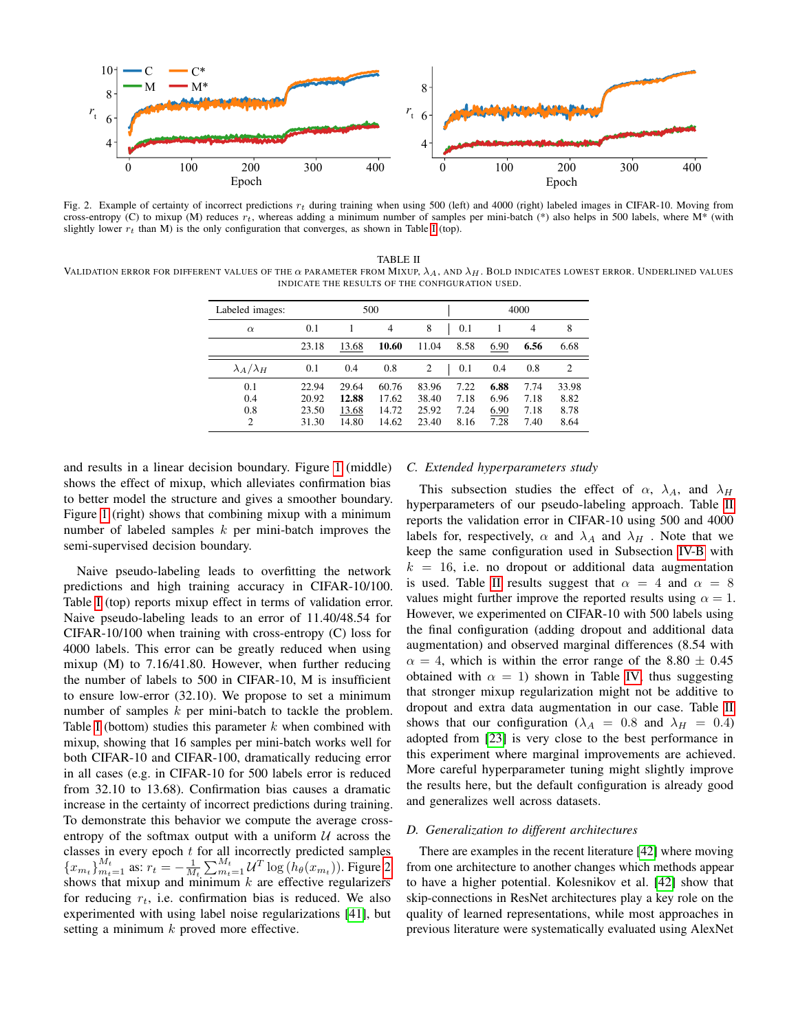

<span id="page-4-2"></span>Fig. 2. Example of certainty of incorrect predictions  $r_t$  during training when using 500 (left) and 4000 (right) labeled images in CIFAR-10. Moving from cross-entropy (C) to mixup (M) reduces  $r_t$ , whereas adding a minimum number of samples per mini-batch (\*) also helps in 500 labels, where  $M^*$  (with slightly lower  $r_t$  than M) is the only configuration that converges, as shown in Table [I](#page-3-3) (top).

<span id="page-4-3"></span>TABLE II VALIDATION ERROR FOR DIFFERENT VALUES OF THE  $\alpha$  parameter from Mixup,  $\lambda_A$ , and  $\lambda_H$ . Bold indicates lowest error. Underlined values INDICATE THE RESULTS OF THE CONFIGURATION USED.

| Labeled images:                     | 500                              |                                  |                                  |                                  | 4000                         |                              |                              |                               |
|-------------------------------------|----------------------------------|----------------------------------|----------------------------------|----------------------------------|------------------------------|------------------------------|------------------------------|-------------------------------|
| $\alpha$                            | 0.1                              |                                  | $\overline{4}$                   | 8                                | 0.1                          |                              | $\overline{4}$               | 8                             |
|                                     | 23.18                            | 13.68                            | 10.60                            | 11.04                            | 8.58                         | 6.90                         | 6.56                         | 6.68                          |
| $\lambda_A/\lambda_H$               | 0.1                              | 0.4                              | 0.8                              | 2                                | 0.1                          | 0.4                          | 0.8                          | $\overline{c}$                |
| 0.1<br>0.4<br>0.8<br>$\overline{2}$ | 22.94<br>20.92<br>23.50<br>31.30 | 29.64<br>12.88<br>13.68<br>14.80 | 60.76<br>17.62<br>14.72<br>14.62 | 83.96<br>38.40<br>25.92<br>23.40 | 7.22<br>7.18<br>7.24<br>8.16 | 6.88<br>6.96<br>6.90<br>7.28 | 7.74<br>7.18<br>7.18<br>7.40 | 33.98<br>8.82<br>8.78<br>8.64 |

and results in a linear decision boundary. Figure [1](#page-3-2) (middle) shows the effect of mixup, which alleviates confirmation bias to better model the structure and gives a smoother boundary. Figure [1](#page-3-2) (right) shows that combining mixup with a minimum number of labeled samples  $k$  per mini-batch improves the semi-supervised decision boundary.

Naive pseudo-labeling leads to overfitting the network predictions and high training accuracy in CIFAR-10/100. Table [I](#page-3-3) (top) reports mixup effect in terms of validation error. Naive pseudo-labeling leads to an error of 11.40/48.54 for CIFAR-10/100 when training with cross-entropy (C) loss for 4000 labels. This error can be greatly reduced when using mixup (M) to 7.16/41.80. However, when further reducing the number of labels to 500 in CIFAR-10, M is insufficient to ensure low-error (32.10). We propose to set a minimum number of samples k per mini-batch to tackle the problem. Table [I](#page-3-3) (bottom) studies this parameter  $k$  when combined with mixup, showing that 16 samples per mini-batch works well for both CIFAR-10 and CIFAR-100, dramatically reducing error in all cases (e.g. in CIFAR-10 for 500 labels error is reduced from 32.10 to 13.68). Confirmation bias causes a dramatic increase in the certainty of incorrect predictions during training. To demonstrate this behavior we compute the average crossentropy of the softmax output with a uniform  $U$  across the classes in every epoch  $t$  for all incorrectly predicted samples  ${x_{m_t}}_{m_t=1}^{M_t}$  as:  $r_t = -\frac{1}{M_t} \sum_{m_t=1}^{M_t} \mathcal{U}^T \log(h_\theta(x_{m_t}))$ . Figure [2](#page-4-2) shows that mixup and minimum  $k$  are effective regularizers for reducing  $r_t$ , i.e. confirmation bias is reduced. We also experimented with using label noise regularizations [\[41\]](#page-7-19), but setting a minimum  $k$  proved more effective.

## <span id="page-4-1"></span>*C. Extended hyperparameters study*

This subsection studies the effect of  $\alpha$ ,  $\lambda_A$ , and  $\lambda_H$ hyperparameters of our pseudo-labeling approach. Table [II](#page-4-3) reports the validation error in CIFAR-10 using 500 and 4000 labels for, respectively,  $\alpha$  and  $\lambda_A$  and  $\lambda_H$ . Note that we keep the same configuration used in Subsection [IV-B](#page-3-0) with  $k = 16$ , i.e. no dropout or additional data augmentation is used. Table [II](#page-4-3) results suggest that  $\alpha = 4$  and  $\alpha = 8$ values might further improve the reported results using  $\alpha = 1$ . However, we experimented on CIFAR-10 with 500 labels using the final configuration (adding dropout and additional data augmentation) and observed marginal differences (8.54 with  $\alpha = 4$ , which is within the error range of the 8.80  $\pm$  0.45 obtained with  $\alpha = 1$ ) shown in Table [IV,](#page-5-1) thus suggesting that stronger mixup regularization might not be additive to dropout and extra data augmentation in our case. Table [II](#page-4-3) shows that our configuration ( $\lambda_A = 0.8$  and  $\lambda_H = 0.4$ ) adopted from [\[23\]](#page-7-1) is very close to the best performance in this experiment where marginal improvements are achieved. More careful hyperparameter tuning might slightly improve the results here, but the default configuration is already good and generalizes well across datasets.

## <span id="page-4-0"></span>*D. Generalization to different architectures*

There are examples in the recent literature [\[42\]](#page-7-20) where moving from one architecture to another changes which methods appear to have a higher potential. Kolesnikov et al. [\[42\]](#page-7-20) show that skip-connections in ResNet architectures play a key role on the quality of learned representations, while most approaches in previous literature were systematically evaluated using AlexNet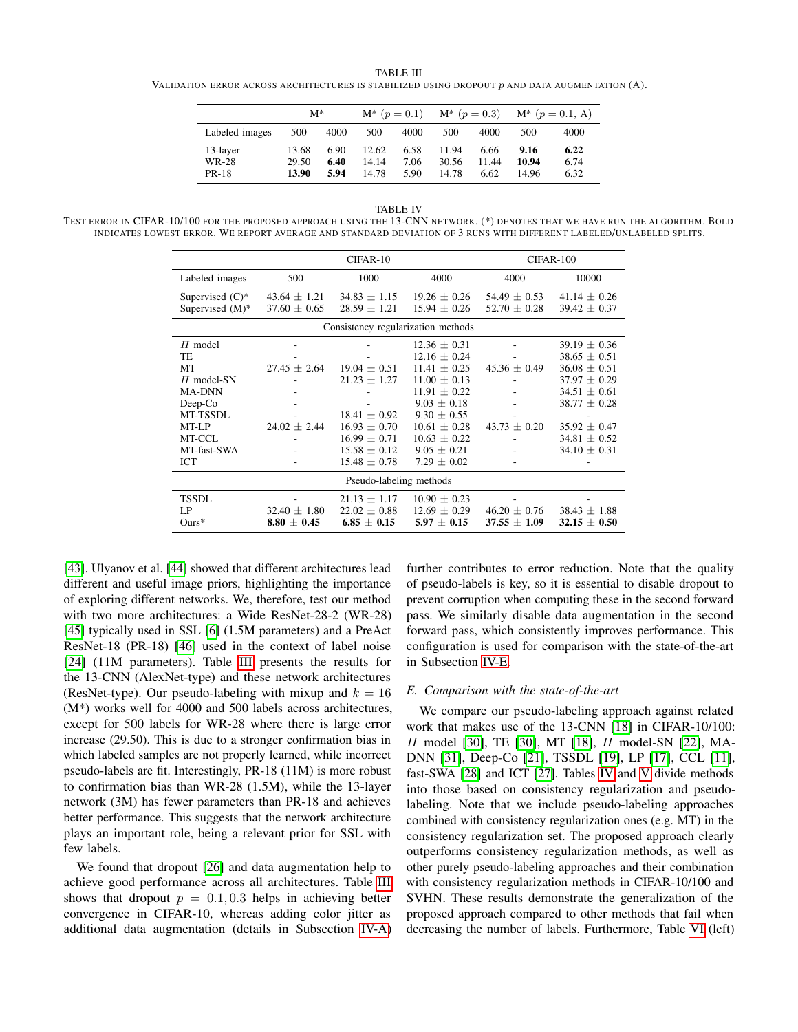<span id="page-5-2"></span>TABLE III VALIDATION ERROR ACROSS ARCHITECTURES IS STABILIZED USING DROPOUT  $p$  and data augmentation  $(A)$ .

|                                   | $M^*$                   |                      | $M^*$ ( $p = 0.1$ )     |                      |                         | $M^*$ ( $p = 0.3$ )   |                        | $M^*$ ( $p = 0.1$ , A) |
|-----------------------------------|-------------------------|----------------------|-------------------------|----------------------|-------------------------|-----------------------|------------------------|------------------------|
| Labeled images                    | 500                     | 4000                 | 500                     | 4000                 | 500                     | 4000                  | 500                    | 4000                   |
| 13-layer<br>WR-28<br><b>PR-18</b> | 13.68<br>29.50<br>13.90 | 6.90<br>6.40<br>5.94 | 12.62<br>14.14<br>14.78 | 6.58<br>7.06<br>5.90 | 11.94<br>30.56<br>14.78 | 6.66<br>11.44<br>6.62 | 9.16<br>10.94<br>14.96 | 6.22<br>6.74<br>6.32   |

TABLE IV

<span id="page-5-1"></span>TEST ERROR IN CIFAR-10/100 FOR THE PROPOSED APPROACH USING THE 13-CNN NETWORK. (\*) DENOTES THAT WE HAVE RUN THE ALGORITHM. BOLD INDICATES LOWEST ERROR. WE REPORT AVERAGE AND STANDARD DEVIATION OF 3 RUNS WITH DIFFERENT LABELED/UNLABELED SPLITS.

|                                                                                                                                  |                                           | CIFAR-10                                                                                                                               | CIFAR-100                                                                                                                                                                                                        |                                                   |                                                                                                                                                                                |  |  |  |
|----------------------------------------------------------------------------------------------------------------------------------|-------------------------------------------|----------------------------------------------------------------------------------------------------------------------------------------|------------------------------------------------------------------------------------------------------------------------------------------------------------------------------------------------------------------|---------------------------------------------------|--------------------------------------------------------------------------------------------------------------------------------------------------------------------------------|--|--|--|
| Labeled images                                                                                                                   | 500                                       | 1000                                                                                                                                   | 4000                                                                                                                                                                                                             | 4000                                              | 10000                                                                                                                                                                          |  |  |  |
| Supervised $(C)^*$<br>Supervised (M)*                                                                                            | $43.64 \pm 1.21$<br>$37.60 \pm 0.65$      | $34.83 \pm 1.15$<br>$28.59 \pm 1.21$                                                                                                   | $19.26 \pm 0.26$<br>$15.94 \pm 0.26$                                                                                                                                                                             | $54.49 \pm 0.53$<br>$52.70 \pm 0.28$              | $41.14 \pm 0.26$<br>$39.42 \pm 0.37$                                                                                                                                           |  |  |  |
| Consistency regularization methods                                                                                               |                                           |                                                                                                                                        |                                                                                                                                                                                                                  |                                                   |                                                                                                                                                                                |  |  |  |
| $\Pi$ model<br>TE<br>МT<br>$\Pi$ model-SN<br><b>MA-DNN</b><br>$Deep$ - $Co$<br>MT-TSSDL<br>MT-LP<br>MT-CCL<br>MT-fast-SWA<br>ICT | $27.45 \pm 2.64$<br>$24.02 \pm 2.44$<br>۰ | $19.04 + 0.51$<br>$21.23 \pm 1.27$<br>$18.41 \pm 0.92$<br>$16.93 \pm 0.70$<br>$16.99 \pm 0.71$<br>$15.58 \pm 0.12$<br>$15.48 \pm 0.78$ | $12.36 \pm 0.31$<br>$12.16 \pm 0.24$<br>$11.41 + 0.25$<br>$11.00 + 0.13$<br>$11.91 \pm 0.22$<br>$9.03 \pm 0.18$<br>$9.30 \pm 0.55$<br>$10.61 \pm 0.28$<br>$10.63 \pm 0.22$<br>$9.05 \pm 0.21$<br>$7.29 \pm 0.02$ | $45.36 + 0.49$<br>٠<br>$43.73 \pm 0.20$<br>۰<br>٠ | $39.19 \pm 0.36$<br>$38.65 \pm 0.51$<br>$36.08 \pm 0.51$<br>$37.97 + 0.29$<br>$34.51 \pm 0.61$<br>$38.77 \pm 0.28$<br>$35.92 \pm 0.47$<br>$34.81 \pm 0.52$<br>$34.10 \pm 0.31$ |  |  |  |
| Pseudo-labeling methods                                                                                                          |                                           |                                                                                                                                        |                                                                                                                                                                                                                  |                                                   |                                                                                                                                                                                |  |  |  |
| <b>TSSDL</b><br>LP<br>$Ours*$                                                                                                    | $32.40 \pm 1.80$<br>$8.80 \pm 0.45$       | $21.13 \pm 1.17$<br>$22.02 \pm 0.88$<br>$6.85 \pm 0.15$                                                                                | $10.90 \pm 0.23$<br>$12.69 \pm 0.29$<br>$5.97 \pm 0.15$                                                                                                                                                          | $46.20 \pm 0.76$<br>$37.55 \pm 1.09$              | $38.43 \pm 1.88$<br>$32.15 \pm 0.50$                                                                                                                                           |  |  |  |

[\[43\]](#page-7-21). Ulyanov et al. [\[44\]](#page-7-22) showed that different architectures lead different and useful image priors, highlighting the importance of exploring different networks. We, therefore, test our method with two more architectures: a Wide ResNet-28-2 (WR-28) [\[45\]](#page-7-23) typically used in SSL [\[6\]](#page-6-5) (1.5M parameters) and a PreAct ResNet-18 (PR-18) [\[46\]](#page-7-24) used in the context of label noise [\[24\]](#page-7-2) (11M parameters). Table [III](#page-5-2) presents the results for the 13-CNN (AlexNet-type) and these network architectures (ResNet-type). Our pseudo-labeling with mixup and  $k = 16$ (M\*) works well for 4000 and 500 labels across architectures, except for 500 labels for WR-28 where there is large error increase (29.50). This is due to a stronger confirmation bias in which labeled samples are not properly learned, while incorrect pseudo-labels are fit. Interestingly, PR-18 (11M) is more robust to confirmation bias than WR-28 (1.5M), while the 13-layer network (3M) has fewer parameters than PR-18 and achieves better performance. This suggests that the network architecture plays an important role, being a relevant prior for SSL with few labels.

We found that dropout [\[26\]](#page-7-4) and data augmentation help to achieve good performance across all architectures. Table [III](#page-5-2) shows that dropout  $p = 0.1, 0.3$  helps in achieving better convergence in CIFAR-10, whereas adding color jitter as additional data augmentation (details in Subsection [IV-A\)](#page-3-4) further contributes to error reduction. Note that the quality of pseudo-labels is key, so it is essential to disable dropout to prevent corruption when computing these in the second forward pass. We similarly disable data augmentation in the second forward pass, which consistently improves performance. This configuration is used for comparison with the state-of-the-art in Subsection [IV-E.](#page-5-0)

## <span id="page-5-0"></span>*E. Comparison with the state-of-the-art*

We compare our pseudo-labeling approach against related work that makes use of the 13-CNN [\[18\]](#page-6-15) in CIFAR-10/100: Π model [\[30\]](#page-7-8), TE [\[30\]](#page-7-8), MT [\[18\]](#page-6-15), Π model-SN [\[22\]](#page-7-0), MA-DNN [\[31\]](#page-7-9), Deep-Co [\[21\]](#page-6-18), TSSDL [\[19\]](#page-6-16), LP [\[17\]](#page-6-14), CCL [\[11\]](#page-6-8), fast-SWA [\[28\]](#page-7-6) and ICT [\[27\]](#page-7-5). Tables [IV](#page-5-1) and [V](#page-6-19) divide methods into those based on consistency regularization and pseudolabeling. Note that we include pseudo-labeling approaches combined with consistency regularization ones (e.g. MT) in the consistency regularization set. The proposed approach clearly outperforms consistency regularization methods, as well as other purely pseudo-labeling approaches and their combination with consistency regularization methods in CIFAR-10/100 and SVHN. These results demonstrate the generalization of the proposed approach compared to other methods that fail when decreasing the number of labels. Furthermore, Table [VI](#page-7-25) (left)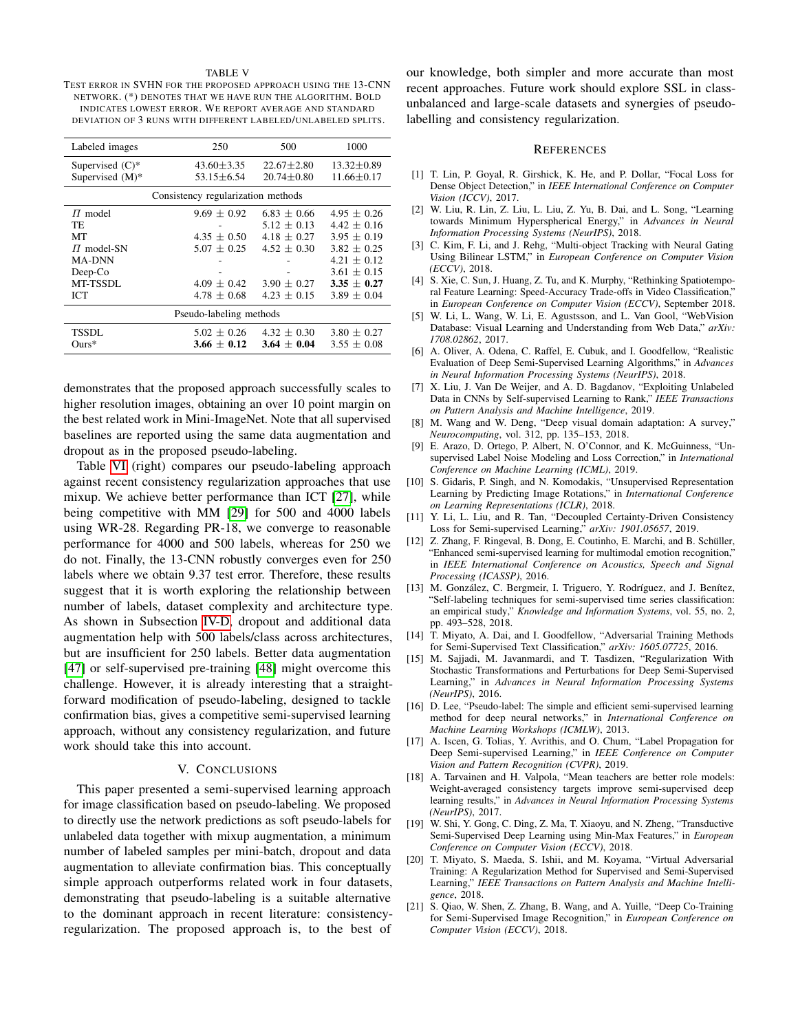#### TABLE V

<span id="page-6-19"></span>TEST ERROR IN SVHN FOR THE PROPOSED APPROACH USING THE 13-CNN NETWORK. (\*) DENOTES THAT WE HAVE RUN THE ALGORITHM. BOLD INDICATES LOWEST ERROR. WE REPORT AVERAGE AND STANDARD DEVIATION OF 3 RUNS WITH DIFFERENT LABELED/UNLABELED SPLITS.

| Labeled images          | 250                                | 500             | 1000             |  |  |  |  |  |  |
|-------------------------|------------------------------------|-----------------|------------------|--|--|--|--|--|--|
| Supervised $(C)^*$      | $43.60 \pm 3.35$                   | $22.67 + 2.80$  | $13.32 \pm 0.89$ |  |  |  |  |  |  |
| Supervised (M)*         | $53.15 + 6.54$                     | $20.74 + 0.80$  | $11.66 \pm 0.17$ |  |  |  |  |  |  |
|                         | Consistency regularization methods |                 |                  |  |  |  |  |  |  |
| $\Pi$ model             | $9.69 + 0.92$                      | $6.83 + 0.66$   | $4.95 + 0.26$    |  |  |  |  |  |  |
| TE                      |                                    | $5.12 + 0.13$   | $4.42 + 0.16$    |  |  |  |  |  |  |
| MТ                      | $4.35 \pm 0.50$                    | $4.18 + 0.27$   | $3.95 + 0.19$    |  |  |  |  |  |  |
| $\Pi$ model-SN          | $5.07 \pm 0.25$                    | $4.52 + 0.30$   | $3.82 + 0.25$    |  |  |  |  |  |  |
| <b>MA-DNN</b>           |                                    |                 | $4.21 + 0.12$    |  |  |  |  |  |  |
| Deep-Co                 |                                    |                 | $3.61 + 0.15$    |  |  |  |  |  |  |
| MT-TSSDL                | $4.09 + 0.42$                      | $3.90 + 0.27$   | $3.35 + 0.27$    |  |  |  |  |  |  |
| <b>ICT</b>              | $4.78 + 0.68$                      | $4.23 + 0.15$   | $3.89 + 0.04$    |  |  |  |  |  |  |
| Pseudo-labeling methods |                                    |                 |                  |  |  |  |  |  |  |
| TSSDL                   | $5.02 \pm 0.26$                    | $4.32 + 0.30$   | $3.80 + 0.27$    |  |  |  |  |  |  |
| $_{\rm Ours*}$          | $3.66 \pm 0.12$                    | $3.64 \pm 0.04$ | $3.55 \pm 0.08$  |  |  |  |  |  |  |

demonstrates that the proposed approach successfully scales to higher resolution images, obtaining an over 10 point margin on the best related work in Mini-ImageNet. Note that all supervised baselines are reported using the same data augmentation and dropout as in the proposed pseudo-labeling.

Table [VI](#page-7-25) (right) compares our pseudo-labeling approach against recent consistency regularization approaches that use mixup. We achieve better performance than ICT [\[27\]](#page-7-5), while being competitive with MM [\[29\]](#page-7-7) for 500 and 4000 labels using WR-28. Regarding PR-18, we converge to reasonable performance for 4000 and 500 labels, whereas for 250 we do not. Finally, the 13-CNN robustly converges even for 250 labels where we obtain 9.37 test error. Therefore, these results suggest that it is worth exploring the relationship between number of labels, dataset complexity and architecture type. As shown in Subsection [IV-D,](#page-4-0) dropout and additional data augmentation help with 500 labels/class across architectures, but are insufficient for 250 labels. Better data augmentation [\[47\]](#page-7-26) or self-supervised pre-training [\[48\]](#page-7-27) might overcome this challenge. However, it is already interesting that a straightforward modification of pseudo-labeling, designed to tackle confirmation bias, gives a competitive semi-supervised learning approach, without any consistency regularization, and future work should take this into account.

#### V. CONCLUSIONS

This paper presented a semi-supervised learning approach for image classification based on pseudo-labeling. We proposed to directly use the network predictions as soft pseudo-labels for unlabeled data together with mixup augmentation, a minimum number of labeled samples per mini-batch, dropout and data augmentation to alleviate confirmation bias. This conceptually simple approach outperforms related work in four datasets, demonstrating that pseudo-labeling is a suitable alternative to the dominant approach in recent literature: consistencyregularization. The proposed approach is, to the best of

our knowledge, both simpler and more accurate than most recent approaches. Future work should explore SSL in classunbalanced and large-scale datasets and synergies of pseudolabelling and consistency regularization.

#### REFERENCES

- <span id="page-6-0"></span>[1] T. Lin, P. Goyal, R. Girshick, K. He, and P. Dollar, "Focal Loss for Dense Object Detection," in *IEEE International Conference on Computer Vision (ICCV)*, 2017.
- [2] W. Liu, R. Lin, Z. Liu, L. Liu, Z. Yu, B. Dai, and L. Song, "Learning towards Minimum Hyperspherical Energy," in *Advances in Neural Information Processing Systems (NeurIPS)*, 2018.
- [3] C. Kim, F. Li, and J. Rehg, "Multi-object Tracking with Neural Gating Using Bilinear LSTM," in *European Conference on Computer Vision (ECCV)*, 2018.
- <span id="page-6-1"></span>[4] S. Xie, C. Sun, J. Huang, Z. Tu, and K. Murphy, "Rethinking Spatiotemporal Feature Learning: Speed-Accuracy Trade-offs in Video Classification," in *European Conference on Computer Vision (ECCV)*, September 2018.
- <span id="page-6-2"></span>[5] W. Li, L. Wang, W. Li, E. Agustsson, and L. Van Gool, "WebVision Database: Visual Learning and Understanding from Web Data," *arXiv: 1708.02862*, 2017.
- <span id="page-6-5"></span>[6] A. Oliver, A. Odena, C. Raffel, E. Cubuk, and I. Goodfellow, "Realistic Evaluation of Deep Semi-Supervised Learning Algorithms," in *Advances in Neural Information Processing Systems (NeurIPS)*, 2018.
- <span id="page-6-3"></span>[7] X. Liu, J. Van De Weijer, and A. D. Bagdanov, "Exploiting Unlabeled Data in CNNs by Self-supervised Learning to Rank," *IEEE Transactions on Pattern Analysis and Machine Intelligence*, 2019.
- <span id="page-6-4"></span>[8] M. Wang and W. Deng, "Deep visual domain adaptation: A survey," *Neurocomputing*, vol. 312, pp. 135–153, 2018.
- <span id="page-6-6"></span>[9] E. Arazo, D. Ortego, P. Albert, N. O'Connor, and K. McGuinness, "Unsupervised Label Noise Modeling and Loss Correction," in *International Conference on Machine Learning (ICML)*, 2019.
- <span id="page-6-7"></span>[10] S. Gidaris, P. Singh, and N. Komodakis, "Unsupervised Representation Learning by Predicting Image Rotations," in *International Conference on Learning Representations (ICLR)*, 2018.
- <span id="page-6-8"></span>[11] Y. Li, L. Liu, and R. Tan, "Decoupled Certainty-Driven Consistency Loss for Semi-supervised Learning," *arXiv: 1901.05657*, 2019.
- <span id="page-6-9"></span>[12] Z. Zhang, F. Ringeval, B. Dong, E. Coutinho, E. Marchi, and B. Schüller, "Enhanced semi-supervised learning for multimodal emotion recognition," in *IEEE International Conference on Acoustics, Speech and Signal Processing (ICASSP)*, 2016.
- <span id="page-6-10"></span>[13] M. González, C. Bergmeir, I. Triguero, Y. Rodríguez, and J. Benítez, "Self-labeling techniques for semi-supervised time series classification: an empirical study," *Knowledge and Information Systems*, vol. 55, no. 2, pp. 493–528, 2018.
- <span id="page-6-11"></span>[14] T. Miyato, A. Dai, and I. Goodfellow, "Adversarial Training Methods for Semi-Supervised Text Classification," *arXiv: 1605.07725*, 2016.
- <span id="page-6-12"></span>[15] M. Sajjadi, M. Javanmardi, and T. Tasdizen, "Regularization With Stochastic Transformations and Perturbations for Deep Semi-Supervised Learning," in *Advances in Neural Information Processing Systems (NeurIPS)*, 2016.
- <span id="page-6-13"></span>[16] D. Lee, "Pseudo-label: The simple and efficient semi-supervised learning method for deep neural networks," in *International Conference on Machine Learning Workshops (ICMLW)*, 2013.
- <span id="page-6-14"></span>[17] A. Iscen, G. Tolias, Y. Avrithis, and O. Chum, "Label Propagation for Deep Semi-supervised Learning," in *IEEE Conference on Computer Vision and Pattern Recognition (CVPR)*, 2019.
- <span id="page-6-15"></span>[18] A. Tarvainen and H. Valpola, "Mean teachers are better role models: Weight-averaged consistency targets improve semi-supervised deep learning results," in *Advances in Neural Information Processing Systems (NeurIPS)*, 2017.
- <span id="page-6-16"></span>[19] W. Shi, Y. Gong, C. Ding, Z. Ma, T. Xiaoyu, and N. Zheng, "Transductive Semi-Supervised Deep Learning using Min-Max Features," in *European Conference on Computer Vision (ECCV)*, 2018.
- <span id="page-6-17"></span>[20] T. Miyato, S. Maeda, S. Ishii, and M. Koyama, "Virtual Adversarial Training: A Regularization Method for Supervised and Semi-Supervised Learning," *IEEE Transactions on Pattern Analysis and Machine Intelligence*, 2018.
- <span id="page-6-18"></span>[21] S. Qiao, W. Shen, Z. Zhang, B. Wang, and A. Yuille, "Deep Co-Training for Semi-Supervised Image Recognition," in *European Conference on Computer Vision (ECCV)*, 2018.